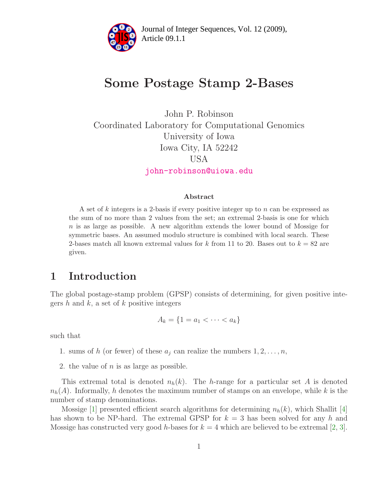

# Some Postage Stamp 2-Bases

John P. Robinson Coordinated Laboratory for Computational Genomics University of Iowa Iowa City, IA 52242 USA [john-robinson@uiowa.edu](mailto:jprobin@engineering.uiowa.edu)

#### Abstract

A set of k integers is a 2-basis if every positive integer up to n can be expressed as the sum of no more than 2 values from the set; an extremal 2-basis is one for which n is as large as possible. A new algorithm extends the lower bound of Mossige for symmetric bases. An assumed modulo structure is combined with local search. These 2-bases match all known extremal values for k from 11 to 20. Bases out to  $k = 82$  are given.

### 1 Introduction

The global postage-stamp problem (GPSP) consists of determining, for given positive integers  $h$  and  $k$ , a set of  $k$  positive integers

$$
A_k = \{1 = a_1 < \cdots < a_k\}
$$

such that

- 1. sums of h (or fewer) of these  $a_j$  can realize the numbers  $1, 2, \ldots, n$ ,
- 2. the value of  $n$  is as large as possible.

This extremal total is denoted  $n_h(k)$ . The h-range for a particular set A is denoted  $n_h(A)$ . Informally, h denotes the maximum number of stamps on an envelope, while k is the number of stamp denominations.

Mossige [\[1\]](#page-3-0) presented efficient search algorithms for determining  $n_h(k)$ , which Shallit [\[4\]](#page-3-1) has shown to be NP-hard. The extremal GPSP for  $k = 3$  has been solved for any h and Mossige has constructed very good h-bases for  $k = 4$  which are believed to be extremal [\[2,](#page-3-2) [3\]](#page-3-3).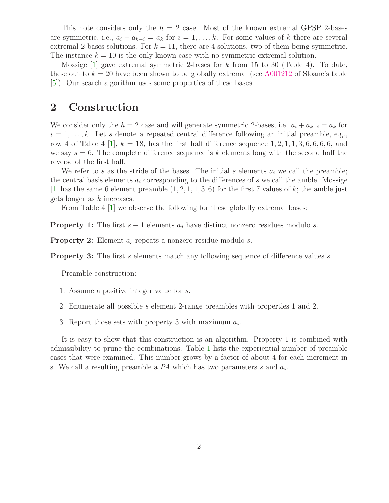This note considers only the  $h = 2$  case. Most of the known extremal GPSP 2-bases are symmetric, i.e.,  $a_i + a_{k-i} = a_k$  for  $i = 1, \ldots, k$ . For some values of k there are several extremal 2-bases solutions. For  $k = 11$ , there are 4 solutions, two of them being symmetric. The instance  $k = 10$  is the only known case with no symmetric extremal solution.

Mossige  $[1]$  gave extremal symmetric 2-bases for k from 15 to 30 (Table 4). To date, these out to  $k = 20$  have been shown to be globally extremal (see [A001212](http://www.research.att.com/cgi-bin/access.cgi/as/~njas/sequences/eisA.cgi?Anum=A001212) of Sloane's table [\[5\]](#page-3-4)). Our search algorithm uses some properties of these bases.

#### 2 Construction

We consider only the  $h = 2$  case and will generate symmetric 2-bases, i.e.  $a_i + a_{k-i} = a_k$  for  $i = 1, \ldots, k$ . Let s denote a repeated central difference following an initial preamble, e.g., row 4 of Table 4 [\[1\]](#page-3-0),  $k = 18$ , has the first half difference sequence 1, 2, 1, 1, 3, 6, 6, 6, 6, and we say  $s = 6$ . The complete difference sequence is k elements long with the second half the reverse of the first half.

We refer to s as the stride of the bases. The initial s elements  $a_i$  we call the preamble; the central basis elements  $a_i$  corresponding to the differences of s we call the amble. Mossige  $[1]$  has the same 6 element preamble  $(1, 2, 1, 1, 3, 6)$  for the first 7 values of k; the amble just gets longer as k increases.

From Table 4 [\[1\]](#page-3-0) we observe the following for these globally extremal bases:

**Property 1:** The first  $s - 1$  elements  $a_j$  have distinct nonzero residues modulo s.

**Property 2:** Element  $a_s$  repeats a nonzero residue modulo  $s$ .

**Property 3:** The first s elements match any following sequence of difference values s.

Preamble construction:

- 1. Assume a positive integer value for s.
- 2. Enumerate all possible s element 2-range preambles with properties 1 and 2.
- 3. Report those sets with property 3 with maximum  $a_s$ .

It is easy to show that this construction is an algorithm. Property 1 is combined with admissibility to prune the combinations. Table [1](#page-2-0) lists the experiential number of preamble cases that were examined. This number grows by a factor of about 4 for each increment in s. We call a resulting preamble a  $PA$  which has two parameters s and  $a_s$ .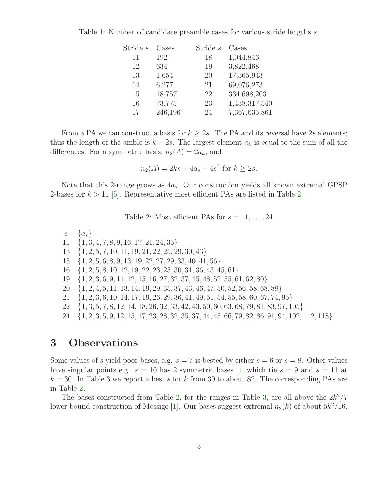<span id="page-2-0"></span>Table 1: Number of candidate preamble cases for various stride lengths s.

| Stride $s$ | Cases   | Stride $s$ | Cases         |
|------------|---------|------------|---------------|
| 11         | 192     | 18         | 1,044,846     |
| 12         | 634     | 19         | 3,822,468     |
| 13         | 1,654   | 20         | 17,365,943    |
| 14         | 6,277   | 21         | 69,076,273    |
| 15         | 18,757  | 22         | 334,698,203   |
| 16         | 73,775  | 23         | 1,438,317,540 |
| 17         | 246,196 | 24         | 7,367,635,861 |

From a PA we can construct a basis for  $k > 2s$ . The PA and its reversal have 2s elements; thus the length of the amble is  $k - 2s$ . The largest element  $a_k$  is equal to the sum of all the differences. For a symmetric basis,  $n_2(A) = 2a_k$ , and

 $n_2(A) = 2ks + 4a_s - 4s^2$  for  $k \ge 2s$ .

Note that this 2-range grows as  $4a_s$ . Our construction yields all known extremal GPSP 2-bases for  $k > 11$  [\[5\]](#page-3-4). Representative most efficient PAs are listed in Table [2.](#page-2-1)

<span id="page-2-1"></span>Table 2: Most efficient PAs for  $s = 11, \ldots, 24$ 

 $s \{a_s\}$  {1, 3, 4, 7, 8, 9, 16, 17, 21, 24, 35} {1, 2, 5, 7, 10, 11, 19, 21, 22, 25, 29, 30, 43} {1, 2, 5, 6, 8, 9, 13, 19, 22, 27, 29, 33, 40, 41, 56} {1, 2, 5, 8, 10, 12, 19, 22, 23, 25, 30, 31, 36, 43, 45, 61} {1, 2, 3, 6, 9, 11, 12, 15, 16, 27, 32, 37, 45, 48, 52, 55, 61, 62, 80} {1, 2, 4, 5, 11, 13, 14, 19, 29, 35, 37, 43, 46, 47, 50, 52, 56, 58, 68, 88} {1, 2, 3, 6, 10, 14, 17, 19, 26, 29, 36, 41, 49, 51, 54, 55, 58, 60, 67, 74, 95} {1, 3, 5, 7, 8, 12, 14, 18, 26, 32, 33, 42, 43, 50, 60, 63, 68, 79, 81, 83, 97, 105} {1, 2, 3, 5, 9, 12, 15, 17, 23, 28, 32, 35, 37, 44, 45, 66, 79, 82, 86, 91, 94, 102, 112, 118}

## 3 Observations

Some values of s yield poor bases, e.g.  $s = 7$  is bested by either  $s = 6$  or  $s = 8$ . Other values have singular points e.g.  $s = 10$  has 2 symmetric bases [\[1\]](#page-3-0) which tie  $s = 9$  and  $s = 11$  at  $k = 30$ . In Table 3 we report a best s for k from 30 to about 82. The corresponding PAs are in Table [2.](#page-2-1)

The bases constructed from Table [2,](#page-2-1) for the ranges in Table [3,](#page-3-5) are all above the  $2k^2/7$ lower bound construction of Mossige [\[1\]](#page-3-0). Our bases suggest extremal  $n_2(k)$  of about  $5k^2/16$ .